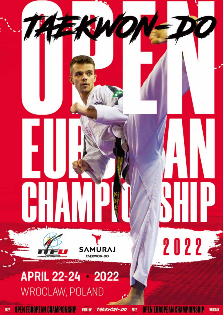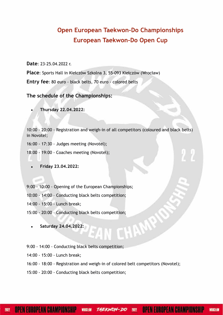# **Open European Taekwon-Do Championships European Taekwon-Do Open Cup**

**Date**: 23-25.04.2022 r.

**Place**: Sports Hall in Kiełczów Szkolna 3, 55-093 Kiełczów (Wrocław) **Entry fee**: 80 euro - black belts, 70 euro - colored belts

**The schedule of the Championships:**

**• Thursday 22.04.2022:**

10:00 - 20:00 - Registration and weigh-in of all competitors (coloured and black belts) in Novotel;

16:00 - 17:30 - Judges meeting (Novotel);

18:00 - 19:00 - Coaches meeting (Novotel);

**• Friday 23.04.2022:**

9:00 - 10:00 - Opening of the European Championships;

10:00 - 14:00 – Conducting black belts competition;

14:00 - 15:00 - Lunch break;

15:00 - 20:00 – Conducting black belts competition;

**• Saturday 24.04.2022:**

9:00 - 14:00 - Conducting black belts competition;

14:00 - 15:00 - Lunch break;

16:00 - 18:00 - Registration and weigh-in of colored belt competitors (Novotel);

M

15:00 - 20:00 - Conducting black belts competition;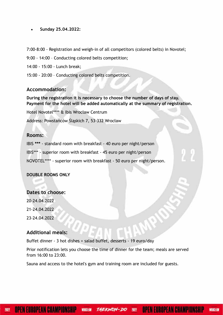**• Sunday 25.04.2022:**

7:00-8:00 - Registration and weigh-in of all competitors (colored belts) in Novotel;

9:00 - 14:00 – Conducting colored belts competition;

14:00 - 15:00 - Lunch break;

15:00 - 20:00 – Conducting colored belts competition.

#### **Accommodation:**

**During the registration it is necessary to choose the number of days of stay. Payment for the hotel will be added automatically at the summary of registration.** 

Hotel Novotel\*\*\*\* & Ibis Wrocław Centrum

Address: Powstańców Śląskich 7, 53-332 Wrocław

#### **Rooms:**

IBIS **\*\*\*** - standard room with breakfast - 40 euro per night/person IBIS\*\*\* - superior room with breakfast - 45 euro per night/person

NOVOTEL\*\*\*\* - superior room with breakfast - 50 euro per night/person.

#### **DOUBLE ROOMS ONLY**

#### **Dates to choose:**

20-24.04.2022 21-24.04.2022 23-24.04.2022

#### **Additional meals:**

Buffet dinner - 3 hot dishes + salad buffet, desserts - 19 euro/day

Prior notification lets you choose the time of dinner for the team; meals are served from 16:00 to 23:00.

Sauna and access to the hotel's gym and training room are included for guests.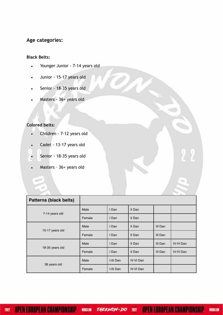## **Age categories:**

#### **Black Belts:**

- Younger Junior 7-14 years old
- Junior 15-17 years old
- Senior 18-35 years old
- Masters 36+ years old

#### **Colored belts:**

- Children 7-12 years old
- Cadet 13-17 years old
- Senior 18-35 years old
- Masters 36+ years old

| <b>Patterns (black belts)</b> |        |           |                  |         |                  |
|-------------------------------|--------|-----------|------------------|---------|------------------|
|                               | Male   | I Dan     | II Dan           |         |                  |
| 7-14 years old                | Female | I Dan     | II Dan           |         |                  |
| 15-17 years old               | Male   | I Dan     | II Dan           | III Dan |                  |
|                               | Female | I Dan     | II Dan           | III Dan |                  |
| 18-35 years old               | Male   | I Dan     | II Dan           | III Dan | <b>IV-VI</b> Dan |
|                               | Female | I Dan     | II Dan           | III Dan | <b>IV-VI</b> Dan |
|                               | Male   | I-III Dan | <b>IV-VI Dan</b> |         |                  |
| 36 years old                  | Female | I-III Dan | <b>IV-VI Dan</b> |         |                  |

2022

**OPEN EUROPEAN CHAMPIONSHIP**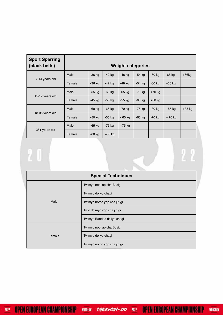| <b>Sport Sparring</b><br>(black belts) | <b>Weight categories</b> |          |          |          |          |          |          |          |
|----------------------------------------|--------------------------|----------|----------|----------|----------|----------|----------|----------|
| 7-14 years old                         | Male                     | $-36$ kg | $-42$ kg | $-48$ kg | $-54$ kg | $-60$ kg | $-66$ kg | $+66$ kg |
|                                        | Female                   | $-36$ kg | $-42$ kg | -48 kg   | $-54$ kg | $-60$ kg | $+60$ kg |          |
| 15-17 years old                        | Male                     | $-55$ kg | $-60$ kg | $-65$ kg | $-70$ kg | $+70$ kg |          |          |
|                                        | Female                   | $-45$ kg | $-50$ kg | $-55$ kg | $-60$ kg | $+60$ kg |          |          |
| 18-35 years old                        | Male                     | $-60$ kg | $-65$ kg | $-70$ kg | $-75$ kg | $-80$ kg | - 85 kg  | $+85$ kg |
|                                        | Female                   | $-50$ kg | $-55$ kg | $-60$ kg | $-65$ kg | $-70$ kg | $+70$ kg |          |
| 36+ years old                          | Male                     | $-65$ kg | $-75$ kg | $+75$ kg |          |          |          |          |
|                                        | Female                   | $-60$ kg | $+60$ kg |          |          |          |          |          |

# $\overline{\mathbf{2}}$

| <b>Special Techniques</b> |                            |  |  |  |  |  |
|---------------------------|----------------------------|--|--|--|--|--|
| Male                      | Twimyo nopi ap cha Busigi  |  |  |  |  |  |
|                           | Twimyo dollyo chagi        |  |  |  |  |  |
|                           | Twimyo nomo yop cha jirugi |  |  |  |  |  |
|                           | Twio dolmyo yop cha jirugi |  |  |  |  |  |
|                           | Twimyo Bandae dollyo chagi |  |  |  |  |  |
|                           | Twimyo nopi ap cha Busigi  |  |  |  |  |  |
| Female                    | Twimyo dollyo chagi        |  |  |  |  |  |
|                           | Twimyo nomo yop cha jirugi |  |  |  |  |  |

 $\overline{22}$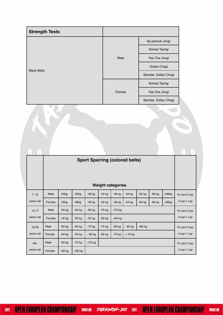| <b>Strength Tests</b> |        |                     |
|-----------------------|--------|---------------------|
|                       |        | Ap joomuk Jirugi    |
|                       |        | Sonkal Taerigi      |
|                       | Male   | Yop Cha Jirugi      |
|                       |        | Dollyo Chagi        |
| <b>Black Belts</b>    |        | Bandae Dollyo Chagi |
|                       |        | Sonkal Taerigi      |
|                       | Female | Yop Cha Jirugi      |
|                       |        | Bandae Dollyo Chagi |

|           | <b>Sport Sparring (colored belts)</b> |          |          |          |          |          |          |          |          |          |               |
|-----------|---------------------------------------|----------|----------|----------|----------|----------|----------|----------|----------|----------|---------------|
|           |                                       |          |          |          |          |          |          |          |          |          |               |
|           |                                       |          |          |          |          |          |          |          |          |          |               |
|           | <b>Weight categories</b>              |          |          |          |          |          |          |          |          |          |               |
| $7 - 12$  | Male                                  | $-25kg$  | $-30kg$  | $-36$ kg | $-42$ kg | $-48$ kg | $-54$ kg | $-60$ kg | $-66$ kg | $+66kg$  | 10 cup-5 cup, |
| years old | Female                                | $-25kg$  | $-30kg$  | $-36$ kg | $-42$ kg | $-48$ kg | $-54$ kg | $-60$ kg | $-66$ kg | $+66$ kg | 4 cup-1 cup   |
| $13 - 17$ | Male                                  | $-55$ kg | $-60$ kg | $-65$ kg | $-70$ kg | $+70$ kg |          |          |          |          | 10 cup-5 cup, |
| years old | Female                                | $-45$ kg | $-50$ kg | $-55$ kg | $-60$ kg | $+60$ kg |          |          |          |          | 4 cup-1 cup   |
| 18-35     | Male                                  | $-60$ kg | $-65$ kg | $-70$ kg | $-75$ kg | $-80$ kg | - 85 kg  | $+85$ kg |          |          | 10 cup-5 cup, |
| years old | Female                                | $-50$ kg | $-55$ kg | $-60$ kg | $-65$ kg | $-70$ kg | $+70$ kg |          |          |          | 4 cup-1 cup   |
| $36+$     | Male                                  | $-65$ kg | $-75$ kg | $+75$ kg |          |          |          |          |          |          | 10 cup-5 cup, |
| years old | Female                                | $-60$ kg | $+60$ kg |          |          |          |          |          |          |          | 4 cup-1 cup   |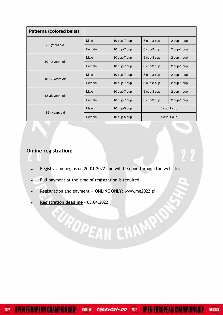| <b>Patterns (colored belts)</b> |                      |              |             |             |  |
|---------------------------------|----------------------|--------------|-------------|-------------|--|
|                                 | Male<br>10 cup-7 cup |              | 6 cup-3 cup | 2 cup-1 cup |  |
| 7-9 years old                   | Female               | 10 cup-7 cup | 6 cup-3 cup | 2 cup-1 cup |  |
|                                 | Male                 | 10 cup-7 cup | 6 cup-3 cup | 2 cup-1 cup |  |
| 10-12 years old                 | Female               | 10 cup-7 cup | 6 cup-3 cup | 2 cup-1 cup |  |
| 13-17 years old                 | Male                 | 10 cup-7 cup | 6 cup-3 cup | 2 cup-1 cup |  |
|                                 | Female               | 10 cup-7 cup | 6 cup-3 cup | 2 cup-1 cup |  |
|                                 | Male                 | 10 cup-7 cup | 6 cup-3 cup | 2 cup-1 cup |  |
| 18-35 years old                 | Female               | 10 cup-7 cup | 6 cup-3 cup | 2 cup-1 cup |  |
|                                 | Male                 | 10 cup-5 cup |             | 4 cup-1 cup |  |
| 36+ years old                   | Female               | 10 cup-5 cup | 4 cup-1 cup |             |  |

# **Online registration:**

**•** Registration begins on 20.01.2022 and will be done through the website.

**EAN CHAMPS** 

- **•** Full payment at the time of registration is required.
- **•** Registration and payment **ONLINE ONLY**: www.me2022.pl
- **• Registration deadline** 03.04.2022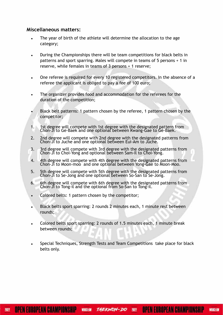#### **Miscellaneous matters:**

- The year of birth of the athlete will determine the allocation to the age category;
- During the Championships there will be team competitions for black belts in patterns and sport sparring. Males will compete in teams of 5 persons + 1 in reserve, while females in teams of 3 persons + 1 reserve;
- One referee is required for every 10 registered competitors. In the absence of a referee the applicant is obliged to pay a fee of 100 euro;
- The organizer provides food and accommodation for the referees for the duration of the competition;
- Black belt patterns: 1 pattern chosen by the referee, 1 pattern chosen by the competitor;
- 1. 1st degree will compete with 1st degree with the designated pattern from Chon-Ji to Ge-Baek and one optional between Kwang-Gae to Ge-Baek.
- 2. 2nd degree will compete with 2nd degree with the designated patterns from Chon-Ji to Juche and one optional between Eui-Am to Juche.
- 3. 3rd degree will compete with 3rd degree with the designated patterns from Chon-Ji to Choi-Yong and optional between Sam-Il to Choi-Yong.
- 4. 4th degree will compete with 4th degree with the designated patterns from Chon-Ji to Moon-moo and one optional between Yong-Gae to Moon-Moo.
- 5. 5th degree will compete with 5th degree with the designated patterns from Chon-Ji to Se-Jong and one optional between So-San to Se-Jong.
- 6. 6th degree will compete with 6th degree with the designated patterns from Chon-Ji to Tong-il and the optional from So-San to Tong-il.
- Colored belts: 1 pattern chosen by the competitor;
- Black belts sport sparring: 2 rounds 2 minutes each, 1 minute rest between rounds;
- Colored belts sport sparring: 2 rounds of 1.5 minutes each, 1 minute break between rounds;
- Special Techniques, Strength Tests and Team Competitions take place for black belts only.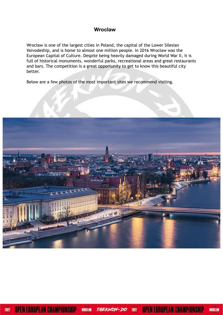### **Wroclaw**

Wrocław is one of the largest cities in Poland, the capital of the Lower Silesian Voivodeship, and is home to almost one million people. In 2016 Wrocław was the European Capital of Culture. Despite being heavily damaged during World War II, it is full of historical monuments, wonderful parks, recreational areas and great restaurants and bars. The competition is a great opportunity to get to know this beautiful city better.

Below are a few photos of the most important sites we recommend visiting.